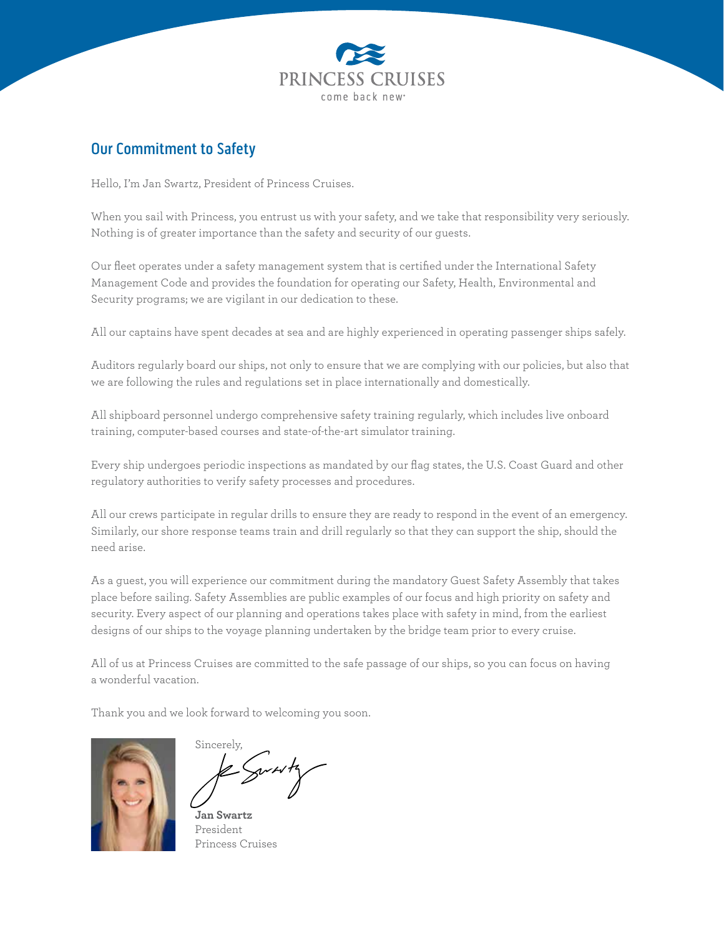

## Our Commitment to Safety

Hello, I'm Jan Swartz, President of Princess Cruises.

When you sail with Princess, you entrust us with your safety, and we take that responsibility very seriously. Nothing is of greater importance than the safety and security of our guests.

Our fleet operates under a safety management system that is certified under the International Safety Management Code and provides the foundation for operating our Safety, Health, Environmental and Security programs; we are vigilant in our dedication to these.

All our captains have spent decades at sea and are highly experienced in operating passenger ships safely.

Auditors regularly board our ships, not only to ensure that we are complying with our policies, but also that we are following the rules and regulations set in place internationally and domestically.

All shipboard personnel undergo comprehensive safety training regularly, which includes live onboard training, computer-based courses and state-of-the-art simulator training.

Every ship undergoes periodic inspections as mandated by our flag states, the U.S. Coast Guard and other regulatory authorities to verify safety processes and procedures.

All our crews participate in regular drills to ensure they are ready to respond in the event of an emergency. Similarly, our shore response teams train and drill regularly so that they can support the ship, should the need arise.

As a guest, you will experience our commitment during the mandatory Guest Safety Assembly that takes place before sailing. Safety Assemblies are public examples of our focus and high priority on safety and security. Every aspect of our planning and operations takes place with safety in mind, from the earliest designs of our ships to the voyage planning undertaken by the bridge team prior to every cruise.

All of us at Princess Cruises are committed to the safe passage of our ships, so you can focus on having a wonderful vacation.

Thank you and we look forward to welcoming you soon.



Sincerely,

**Jan Swartz** President Princess Cruises